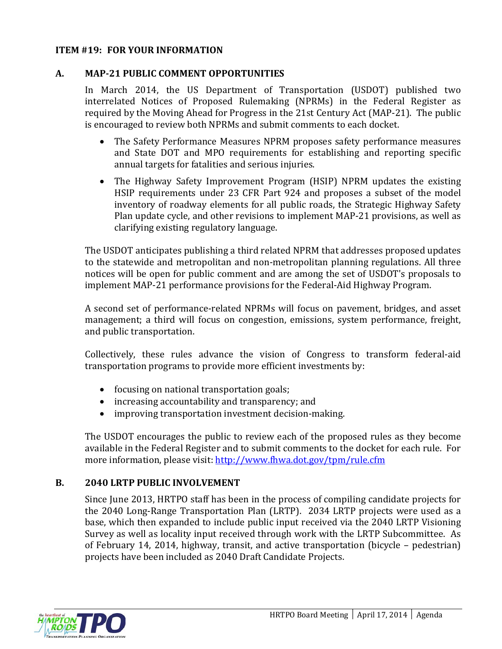### **ITEM #19: FOR YOUR INFORMATION**

#### **A. MAP-21 PUBLIC COMMENT OPPORTUNITIES**

In March 2014, the US Department of Transportation (USDOT) published two interrelated Notices of Proposed Rulemaking (NPRMs) in the Federal Register as required by the Moving Ahead for Progress in the 21st Century Act (MAP-21). The public is encouraged to review both NPRMs and submit comments to each docket.

- The Safety Performance Measures NPRM proposes safety performance measures and State DOT and MPO requirements for establishing and reporting specific annual targets for fatalities and serious injuries.
- The Highway Safety Improvement Program (HSIP) NPRM updates the existing HSIP requirements under 23 CFR Part 924 and proposes a subset of the model inventory of roadway elements for all public roads, the Strategic Highway Safety Plan update cycle, and other revisions to implement MAP-21 provisions, as well as clarifying existing regulatory language.

The USDOT anticipates publishing a third related NPRM that addresses proposed updates to the statewide and metropolitan and non-metropolitan planning regulations. All three notices will be open for public comment and are among the set of USDOT's proposals to implement MAP-21 performance provisions for the Federal-Aid Highway Program.

A second set of performance-related NPRMs will focus on pavement, bridges, and asset management; a third will focus on congestion, emissions, system performance, freight, and public transportation.

Collectively, these rules advance the vision of Congress to transform federal-aid transportation programs to provide more efficient investments by:

- focusing on national transportation goals;
- increasing accountability and transparency; and
- improving transportation investment decision-making.

The USDOT encourages the public to review each of the proposed rules as they become available in the Federal Register and to submit comments to the docket for each rule. For more information, please visit:<http://www.fhwa.dot.gov/tpm/rule.cfm>

### **B. 2040 LRTP PUBLIC INVOLVEMENT**

Since June 2013, HRTPO staff has been in the process of compiling candidate projects for the 2040 Long-Range Transportation Plan (LRTP). 2034 LRTP projects were used as a base, which then expanded to include public input received via the 2040 LRTP Visioning Survey as well as locality input received through work with the LRTP Subcommittee. As of February 14, 2014, highway, transit, and active transportation (bicycle – pedestrian) projects have been included as 2040 Draft Candidate Projects.

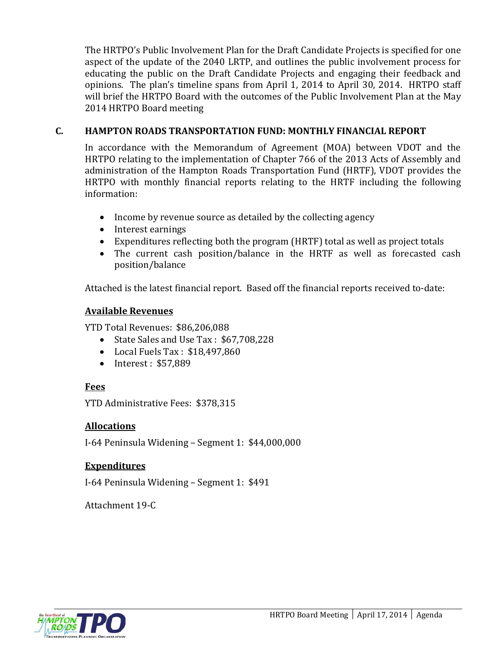The HRTPO's Public Involvement Plan for the Draft Candidate Projects is specified for one aspect of the update of the 2040 LRTP, and outlines the public involvement process for educating the public on the Draft Candidate Projects and engaging their feedback and opinions. The plan's timeline spans from April 1, 2014 to April 30, 2014. HRTPO staff will brief the HRTPO Board with the outcomes of the Public Involvement Plan at the May 2014 HRTPO Board meeting

### **C. HAMPTON ROADS TRANSPORTATION FUND: MONTHLY FINANCIAL REPORT**

In accordance with the Memorandum of Agreement (MOA) between VDOT and the HRTPO relating to the implementation of Chapter 766 of the 2013 Acts of Assembly and administration of the Hampton Roads Transportation Fund (HRTF), VDOT provides the HRTPO with monthly financial reports relating to the HRTF including the following information:

- Income by revenue source as detailed by the collecting agency
- Interest earnings
- Expenditures reflecting both the program (HRTF) total as well as project totals
- The current cash position/balance in the HRTF as well as forecasted cash position/balance

Attached is the latest financial report. Based off the financial reports received to-date:

### **Available Revenues**

YTD Total Revenues: \$86,206,088

- State Sales and Use Tax : \$67,708,228
- Local Fuels Tax : \$18,497,860
- Interest: \$57,889

### **Fees**

YTD Administrative Fees: \$378,315

### **Allocations**

I-64 Peninsula Widening – Segment 1: \$44,000,000

### **Expenditures**

I-64 Peninsula Widening – Segment 1: \$491

Attachment 19-C

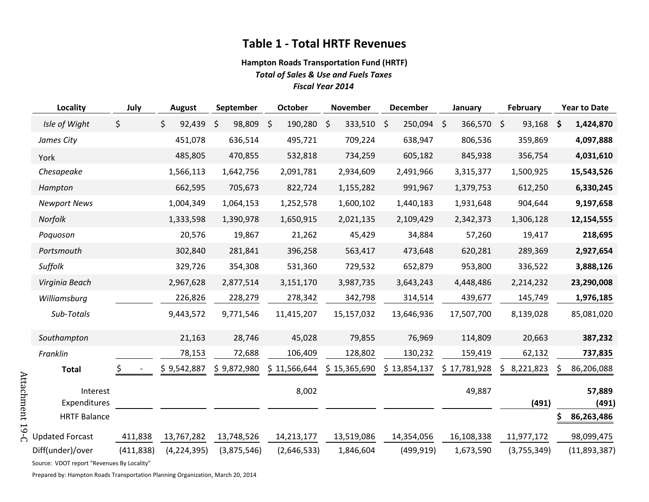## **Table 1 - Total HRTF Revenues**

#### **Hampton Roads Transportation Fund (HRTF)** *Total of Sales & Use and Fuels Taxes Fiscal Year 2014*

| <b>Locality</b>          | July       | <b>August</b>     | September         | October       | <b>November</b>    | <b>December</b>       | January      | <b>February</b> | <b>Year to Date</b> |  |
|--------------------------|------------|-------------------|-------------------|---------------|--------------------|-----------------------|--------------|-----------------|---------------------|--|
| Isle of Wight            | \$         | $\zeta$<br>92,439 | 98,809<br>$\zeta$ | 190,280<br>\$ | 333,510<br>$\zeta$ | $\zeta$<br>250,094 \$ | 366,570 \$   | 93,168          | \$<br>1,424,870     |  |
| James City               |            | 451,078           | 636,514           | 495,721       | 709,224            | 638,947               | 806,536      | 359,869         | 4,097,888           |  |
| York                     |            | 485,805           | 470,855           | 532,818       | 734,259            | 605,182               | 845,938      | 356,754         | 4,031,610           |  |
| Chesapeake               |            | 1,566,113         | 1,642,756         | 2,091,781     | 2,934,609          | 2,491,966             | 3,315,377    | 1,500,925       | 15,543,526          |  |
| Hampton                  |            | 662,595           | 705,673           | 822,724       | 1,155,282          | 991,967               | 1,379,753    | 612,250         | 6,330,245           |  |
| <b>Newport News</b>      |            | 1,004,349         | 1,064,153         | 1,252,578     | 1,600,102          | 1,440,183             | 1,931,648    | 904,644         | 9,197,658           |  |
| Norfolk                  |            | 1,333,598         | 1,390,978         | 1,650,915     | 2,021,135          | 2,109,429             | 2,342,373    | 1,306,128       | 12,154,555          |  |
| Poquoson                 |            | 20,576            | 19,867            | 21,262        | 45,429             | 34,884                | 57,260       | 19,417          | 218,695             |  |
| Portsmouth               |            | 302,840           | 281,841           | 396,258       | 563,417            | 473,648               | 620,281      | 289,369         | 2,927,654           |  |
| Suffolk                  |            | 329,726           | 354,308           | 531,360       | 729,532            | 652,879               | 953,800      | 336,522         | 3,888,126           |  |
| Virginia Beach           |            | 2,967,628         | 2,877,514         | 3,151,170     | 3,987,735          | 3,643,243             | 4,448,486    | 2,214,232       | 23,290,008          |  |
| Williamsburg             |            | 226,826           | 228,279           | 278,342       | 342,798            | 314,514               | 439,677      | 145,749         | 1,976,185           |  |
| Sub-Totals               |            | 9,443,572         | 9,771,546         | 11,415,207    | 15,157,032         | 13,646,936            | 17,507,700   | 8,139,028       | 85,081,020          |  |
| Southampton              |            | 21,163            | 28,746            | 45,028        | 79,855             | 76,969                | 114,809      | 20,663          | 387,232             |  |
| Franklin                 |            | 78,153            | 72,688            | 106,409       | 128,802            | 130,232               | 159,419      | 62,132          | 737,835             |  |
| <b>Total</b>             | Ş.         | \$9,542,887       | \$9,872,980       | \$11,566,644  | 15,365,690<br>S.   | \$13,854,137          | \$17,781,928 | 8,221,823<br>S. | 86,206,088<br>S     |  |
| Interest<br>Expenditures |            |                   |                   | 8,002         |                    |                       | 49,887       | (491)           | 57,889<br>(491)     |  |
| <b>HRTF Balance</b>      |            |                   |                   |               |                    |                       |              |                 | 86,263,486<br>Ş     |  |
| <b>Updated Forcast</b>   | 411,838    | 13,767,282        | 13,748,526        | 14,213,177    | 13,519,086         | 14,354,056            | 16,108,338   | 11,977,172      | 98,099,475          |  |
| Diff(under)/over         | (411, 838) | (4, 224, 395)     | (3,875,546)       | (2,646,533)   | 1,846,604          | (499, 919)            | 1,673,590    | (3,755,349)     | (11,893,387)        |  |

Source: VDOT report "Revenues By Locality"

Attachment 19-C Attachment 19-C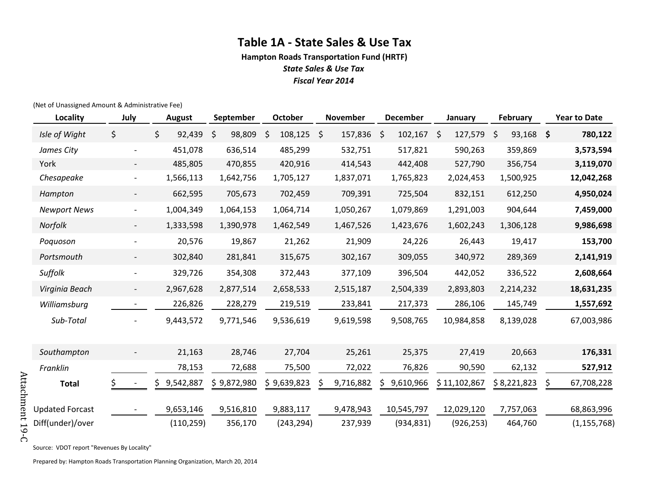## **Table 1A - State Sales & Use Tax**

**Hampton Roads Transportation Fund (HRTF)** *State Sales & Use Tax*

*Fiscal Year 2014*

(Net of Unassigned Amount & Administrative Fee)

| Locality               | July                     | <b>August</b>   | September    | <b>October</b> | <b>November</b>    | <b>December</b> | January       | February        | <b>Year to Date</b> |
|------------------------|--------------------------|-----------------|--------------|----------------|--------------------|-----------------|---------------|-----------------|---------------------|
| Isle of Wight          | \$                       | \$<br>92,439    | \$<br>98,809 | 108,125<br>\$  | $\zeta$<br>157,836 | 102,167<br>\$.  | 127,579<br>\$ | 93,168 \$<br>\$ | 780,122             |
| James City             | $\overline{\phantom{a}}$ | 451,078         | 636,514      | 485,299        | 532,751            | 517,821         | 590,263       | 359,869         | 3,573,594           |
| York                   |                          | 485,805         | 470,855      | 420,916        | 414,543            | 442,408         | 527,790       | 356,754         | 3,119,070           |
| Chesapeake             | $\overline{\phantom{a}}$ | 1,566,113       | 1,642,756    | 1,705,127      | 1,837,071          | 1,765,823       | 2,024,453     | 1,500,925       | 12,042,268          |
| Hampton                | $\overline{\phantom{a}}$ | 662,595         | 705,673      | 702,459        | 709,391            | 725,504         | 832,151       | 612,250         | 4,950,024           |
| <b>Newport News</b>    | $\overline{\phantom{a}}$ | 1,004,349       | 1,064,153    | 1,064,714      | 1,050,267          | 1,079,869       | 1,291,003     | 904,644         | 7,459,000           |
| Norfolk                | $\overline{\phantom{a}}$ | 1,333,598       | 1,390,978    | 1,462,549      | 1,467,526          | 1,423,676       | 1,602,243     | 1,306,128       | 9,986,698           |
| Poquoson               | $\overline{\phantom{a}}$ | 20,576          | 19,867       | 21,262         | 21,909             | 24,226          | 26,443        | 19,417          | 153,700             |
| Portsmouth             | $\overline{\phantom{a}}$ | 302,840         | 281,841      | 315,675        | 302,167            | 309,055         | 340,972       | 289,369         | 2,141,919           |
| Suffolk                | $\overline{\phantom{a}}$ | 329,726         | 354,308      | 372,443        | 377,109            | 396,504         | 442,052       | 336,522         | 2,608,664           |
| Virginia Beach         | $\overline{\phantom{a}}$ | 2,967,628       | 2,877,514    | 2,658,533      | 2,515,187          | 2,504,339       | 2,893,803     | 2,214,232       | 18,631,235          |
| Williamsburg           | $\overline{\phantom{a}}$ | 226,826         | 228,279      | 219,519        | 233,841            | 217,373         | 286,106       | 145,749         | 1,557,692           |
| Sub-Total              |                          | 9,443,572       | 9,771,546    | 9,536,619      | 9,619,598          | 9,508,765       | 10,984,858    | 8,139,028       | 67,003,986          |
|                        |                          |                 |              |                |                    |                 |               |                 |                     |
| Southampton            | $\overline{\phantom{a}}$ | 21,163          | 28,746       | 27,704         | 25,261             | 25,375          | 27,419        | 20,663          | 176,331             |
| Franklin               |                          | 78,153          | 72,688       | 75,500         | 72,022             | 76,826          | 90,590        | 62,132          | 527,912             |
| <b>Total</b>           | Ş.                       | 9,542,887<br>\$ | \$9,872,980  | \$9,639,823    | 9,716,882<br>S     | 9,610,966       | \$11,102,867  | \$8,221,823     | \$<br>67,708,228    |
|                        |                          |                 |              |                |                    |                 |               |                 |                     |
| <b>Updated Forcast</b> |                          | 9,653,146       | 9,516,810    | 9,883,117      | 9,478,943          | 10,545,797      | 12,029,120    | 7,757,063       | 68,863,996          |
| Diff(under)/over       |                          | (110, 259)      | 356,170      | (243, 294)     | 237,939            | (934, 831)      | (926, 253)    | 464,760         | (1, 155, 768)       |

Attachment 19-C Attachment 19-C

Source: VDOT report "Revenues By Locality"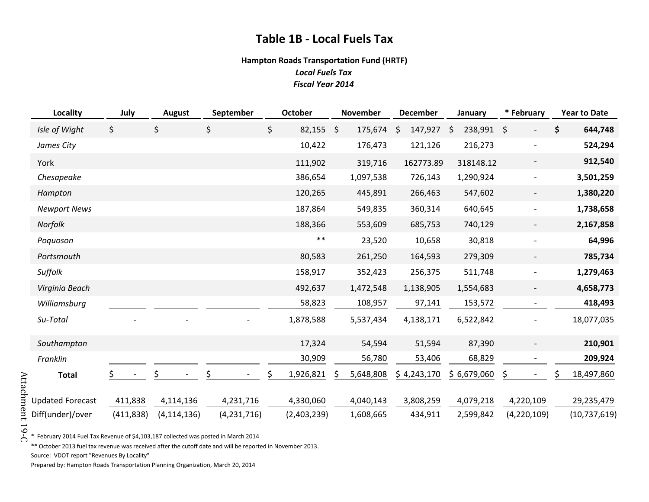## **Table 1B - Local Fuels Tax**

#### **Hampton Roads Transportation Fund (HRTF)**

*Local Fuels Tax Fiscal Year 2014*

| <b>Locality</b>         | July       | <b>August</b> | September   | October      |         | November  |         | <b>December</b> |    | January     |         | * February               |    | <b>Year to Date</b> |
|-------------------------|------------|---------------|-------------|--------------|---------|-----------|---------|-----------------|----|-------------|---------|--------------------------|----|---------------------|
| Isle of Wight           | \$         | \$            | \$          | \$<br>82,155 | $\zeta$ | 175,674   | $\zeta$ | 147,927         | S, | 238,991     | $\zeta$ | $\overline{\phantom{0}}$ | \$ | 644,748             |
| James City              |            |               |             | 10,422       |         | 176,473   |         | 121,126         |    | 216,273     |         | $\overline{\phantom{a}}$ |    | 524,294             |
| York                    |            |               |             | 111,902      |         | 319,716   |         | 162773.89       |    | 318148.12   |         | $\overline{\phantom{a}}$ |    | 912,540             |
| Chesapeake              |            |               |             | 386,654      |         | 1,097,538 |         | 726,143         |    | 1,290,924   |         | $\overline{\phantom{a}}$ |    | 3,501,259           |
| Hampton                 |            |               |             | 120,265      |         | 445,891   |         | 266,463         |    | 547,602     |         | $\overline{\phantom{a}}$ |    | 1,380,220           |
| <b>Newport News</b>     |            |               |             | 187,864      |         | 549,835   |         | 360,314         |    | 640,645     |         | $\overline{\phantom{a}}$ |    | 1,738,658           |
| Norfolk                 |            |               |             | 188,366      |         | 553,609   |         | 685,753         |    | 740,129     |         | $\overline{\phantom{a}}$ |    | 2,167,858           |
| Poquoson                |            |               |             | $***$        |         | 23,520    |         | 10,658          |    | 30,818      |         | $\overline{\phantom{a}}$ |    | 64,996              |
| Portsmouth              |            |               |             | 80,583       |         | 261,250   |         | 164,593         |    | 279,309     |         |                          |    | 785,734             |
| Suffolk                 |            |               |             | 158,917      |         | 352,423   |         | 256,375         |    | 511,748     |         | $\overline{\phantom{a}}$ |    | 1,279,463           |
| Virginia Beach          |            |               |             | 492,637      |         | 1,472,548 |         | 1,138,905       |    | 1,554,683   |         | $\overline{\phantom{a}}$ |    | 4,658,773           |
| Williamsburg            |            |               |             | 58,823       |         | 108,957   |         | 97,141          |    | 153,572     |         | $\overline{\phantom{a}}$ |    | 418,493             |
| Su-Total                |            |               |             | 1,878,588    |         | 5,537,434 |         | 4,138,171       |    | 6,522,842   |         |                          |    | 18,077,035          |
| Southampton             |            |               |             | 17,324       |         | 54,594    |         | 51,594          |    | 87,390      |         | $\overline{\phantom{a}}$ |    | 210,901             |
| Franklin                |            |               |             | 30,909       |         | 56,780    |         | 53,406          |    | 68,829      |         |                          |    | 209,924             |
| <b>Total</b>            |            |               |             | 1,926,821    |         | 5,648,808 |         | \$4,243,170     |    | \$6,679,060 | Ş       |                          | S  | 18,497,860          |
| <b>Updated Forecast</b> | 411,838    | 4,114,136     | 4,231,716   | 4,330,060    |         | 4,040,143 |         | 3,808,259       |    | 4,079,218   |         | 4,220,109                |    | 29,235,479          |
| Diff(under)/over        | (411, 838) | (4, 114, 136) | (4,231,716) | (2,403,239)  |         | 1,608,665 |         | 434,911         |    | 2,599,842   |         | (4,220,109)              |    | (10, 737, 619)      |

Attachment 19-C Attachment 19-C\* February 2014 Fuel Tax Revenue of \$4,103,187 collected was posted in March 2014

\*\* October 2013 fuel tax revenue was received after the cutoff date and will be reported in November 2013. Source: VDOT report "Revenues By Locality"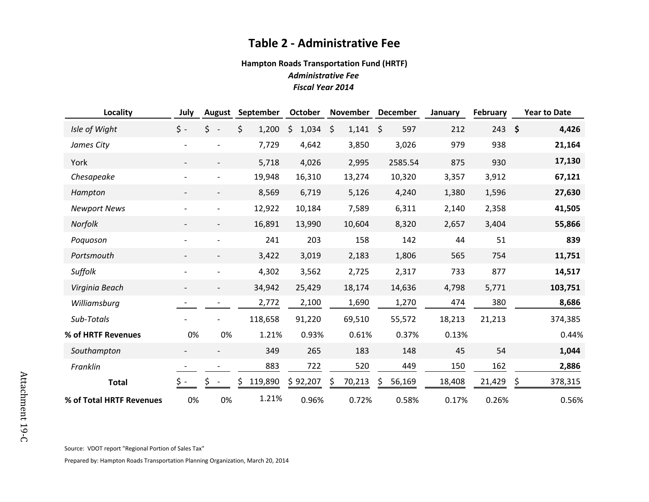### **Table 2 - Administrative Fee**

### **Hampton Roads Transportation Fund (HRTF)** *Administrative Fee Fiscal Year 2014*

| Locality                 | July                     | <b>August</b>            | September   | October     | November    | <b>December</b> | January | <b>February</b> | <b>Year to Date</b>          |
|--------------------------|--------------------------|--------------------------|-------------|-------------|-------------|-----------------|---------|-----------------|------------------------------|
| Isle of Wight            | $\zeta$ -                | \$                       | \$<br>1,200 | \$<br>1,034 | \$<br>1,141 | \$<br>597       | 212     | 243             | $\ddot{\bm{\zeta}}$<br>4,426 |
| James City               |                          |                          | 7,729       | 4,642       | 3,850       | 3,026           | 979     | 938             | 21,164                       |
| York                     |                          |                          | 5,718       | 4,026       | 2,995       | 2585.54         | 875     | 930             | 17,130                       |
| Chesapeake               |                          |                          | 19,948      | 16,310      | 13,274      | 10,320          | 3,357   | 3,912           | 67,121                       |
| Hampton                  | $\overline{\phantom{a}}$ | $\overline{\phantom{a}}$ | 8,569       | 6,719       | 5,126       | 4,240           | 1,380   | 1,596           | 27,630                       |
| <b>Newport News</b>      |                          |                          | 12,922      | 10,184      | 7,589       | 6,311           | 2,140   | 2,358           | 41,505                       |
| Norfolk                  |                          | $\overline{\phantom{a}}$ | 16,891      | 13,990      | 10,604      | 8,320           | 2,657   | 3,404           | 55,866                       |
| Poquoson                 |                          |                          | 241         | 203         | 158         | 142             | 44      | 51              | 839                          |
| Portsmouth               |                          | $\overline{\phantom{a}}$ | 3,422       | 3,019       | 2,183       | 1,806           | 565     | 754             | 11,751                       |
| Suffolk                  |                          |                          | 4,302       | 3,562       | 2,725       | 2,317           | 733     | 877             | 14,517                       |
| Virginia Beach           | $\overline{\phantom{a}}$ |                          | 34,942      | 25,429      | 18,174      | 14,636          | 4,798   | 5,771           | 103,751                      |
| Williamsburg             |                          |                          | 2,772       | 2,100       | 1,690       | 1,270           | 474     | 380             | 8,686                        |
| Sub-Totals               |                          |                          | 118,658     | 91,220      | 69,510      | 55,572          | 18,213  | 21,213          | 374,385                      |
| % of HRTF Revenues       | 0%                       | 0%                       | 1.21%       | 0.93%       | 0.61%       | 0.37%           | 0.13%   |                 | 0.44%                        |
| Southampton              |                          |                          | 349         | 265         | 183         | 148             | 45      | 54              | 1,044                        |
| Franklin                 |                          |                          | 883         | 722         | 520         | 449             | 150     | 162             | 2,886                        |
| <b>Total</b>             |                          |                          | 119,890     | \$92,207    | 70,213      | 56,169<br>S     | 18,408  | 21,429          | \$<br>378,315                |
| % of Total HRTF Revenues | 0%                       | 0%                       | 1.21%       | 0.96%       | 0.72%       | 0.58%           | 0.17%   | 0.26%           | 0.56%                        |

Source: VDOT report "Regional Portion of Sales Tax"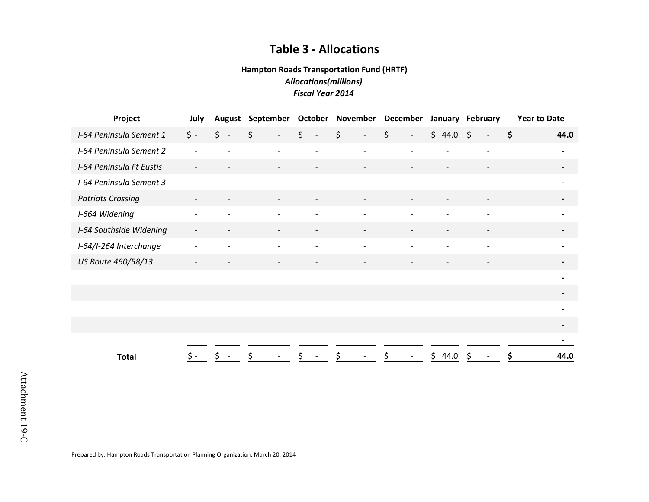## **Table 3 - Allocations**

#### **Hampton Roads Transportation Fund (HRTF)** *Allocations(millions) Fiscal Year 2014*

| Project<br>July          |                          | <b>August</b>            | September                      | <b>October November</b>             |                                                  | December                            |                              | January February         | <b>Year to Date</b>         |  |
|--------------------------|--------------------------|--------------------------|--------------------------------|-------------------------------------|--------------------------------------------------|-------------------------------------|------------------------------|--------------------------|-----------------------------|--|
| I-64 Peninsula Sement 1  | $\zeta$ -                | \$<br>$\sim$ $-$         | \$<br>$\overline{\phantom{a}}$ | $\zeta$<br>$\overline{\phantom{a}}$ | $\boldsymbol{\zeta}$<br>$\overline{\phantom{a}}$ | $\zeta$<br>$\overline{\phantom{a}}$ | \$44.0\$                     | $\overline{\phantom{a}}$ | $\ddot{\bm{\zeta}}$<br>44.0 |  |
| I-64 Peninsula Sement 2  | $\overline{\phantom{a}}$ | $\qquad \qquad -$        | $\overline{\phantom{a}}$       | $\overline{\phantom{a}}$            | $\overline{\phantom{a}}$                         | $\overline{\phantom{a}}$            | $\overline{\phantom{0}}$     | $\overline{\phantom{a}}$ | $\blacksquare$              |  |
| I-64 Peninsula Ft Eustis | $\overline{\phantom{a}}$ | $\qquad \qquad -$        | $\overline{\phantom{a}}$       | $\overline{\phantom{a}}$            | $\overline{\phantom{a}}$                         | $\overline{\phantom{a}}$            | $\overline{\phantom{a}}$     | $\overline{\phantom{a}}$ | $\overline{\phantom{a}}$    |  |
| I-64 Peninsula Sement 3  | $\overline{\phantom{0}}$ |                          | $\overline{\phantom{a}}$       | $\overline{a}$                      | $\blacksquare$                                   | $\overline{a}$                      | $\overline{a}$               | $\overline{a}$           | $\blacksquare$              |  |
| <b>Patriots Crossing</b> | $\overline{\phantom{a}}$ | $\overline{\phantom{a}}$ | $\overline{\phantom{a}}$       | $\overline{\phantom{a}}$            | $\overline{\phantom{a}}$                         | $\overline{\phantom{a}}$            | $\qquad \qquad \blacksquare$ | $\overline{\phantom{a}}$ | $\blacksquare$              |  |
| I-664 Widening           | $\overline{\phantom{a}}$ | $\overline{\phantom{0}}$ | $\overline{\phantom{a}}$       | $\overline{\phantom{0}}$            | $\overline{\phantom{a}}$                         | $\overline{\phantom{a}}$            | $\overline{\phantom{a}}$     | $\overline{\phantom{a}}$ | $\blacksquare$              |  |
| I-64 Southside Widening  | $\overline{\phantom{a}}$ | $\overline{\phantom{a}}$ | $\overline{\phantom{a}}$       | -                                   | $\overline{\phantom{a}}$                         | $\overline{\phantom{a}}$            | $\overline{\phantom{a}}$     | $\overline{\phantom{a}}$ | $\blacksquare$              |  |
| I-64/I-264 Interchange   |                          |                          | $\overline{\phantom{a}}$       |                                     | $\overline{a}$                                   |                                     |                              | $\overline{\phantom{a}}$ | $\overline{\phantom{0}}$    |  |
| US Route 460/58/13       | $\overline{\phantom{a}}$ | $\qquad \qquad -$        | $\overline{\phantom{a}}$       | $\overline{\phantom{a}}$            | $\overline{\phantom{a}}$                         | $\overline{\phantom{a}}$            | $\overline{\phantom{0}}$     | $\overline{\phantom{a}}$ | $\overline{\phantom{a}}$    |  |
|                          |                          |                          |                                |                                     |                                                  |                                     |                              |                          | $\blacksquare$              |  |
|                          |                          |                          |                                |                                     |                                                  |                                     |                              |                          | $\overline{\phantom{a}}$    |  |
|                          |                          |                          |                                |                                     |                                                  |                                     |                              |                          | $\blacksquare$              |  |
|                          |                          |                          |                                |                                     |                                                  |                                     |                              |                          | $\overline{\phantom{0}}$    |  |
|                          |                          |                          |                                |                                     |                                                  |                                     |                              |                          | $\overline{\phantom{0}}$    |  |
| <b>Total</b>             |                          |                          |                                |                                     |                                                  |                                     | 44.0<br>\$.                  |                          | 44.0                        |  |